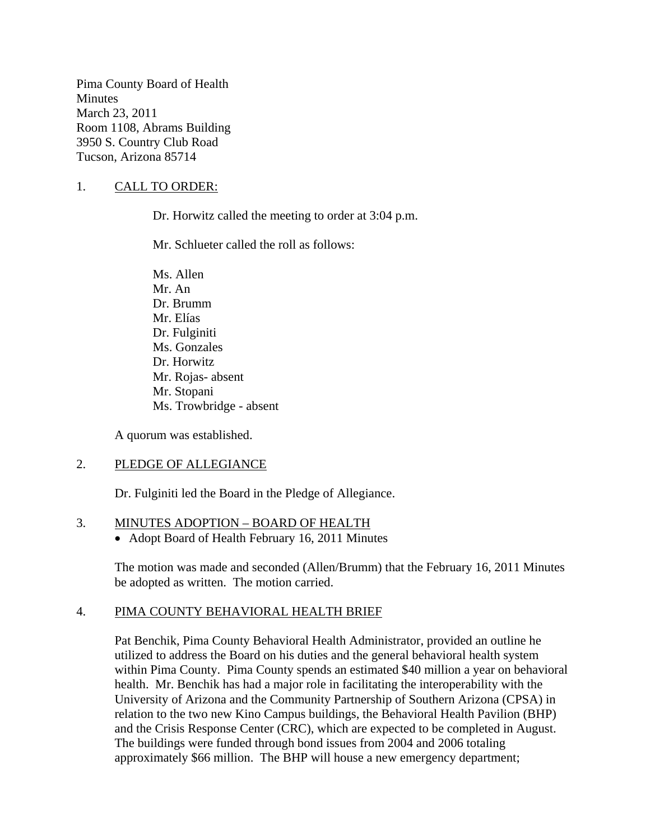Pima County Board of Health **Minutes** March 23, 2011 Room 1108, Abrams Building 3950 S. Country Club Road Tucson, Arizona 85714

### 1. CALL TO ORDER:

Dr. Horwitz called the meeting to order at 3:04 p.m.

Mr. Schlueter called the roll as follows:

Ms. Allen Mr. An Dr. Brumm Mr. Elías Dr. Fulginiti Ms. Gonzales Dr. Horwitz Mr. Rojas- absent Mr. Stopani Ms. Trowbridge - absent

A quorum was established.

### 2. PLEDGE OF ALLEGIANCE

Dr. Fulginiti led the Board in the Pledge of Allegiance.

### 3. MINUTES ADOPTION – BOARD OF HEALTH

• Adopt Board of Health February 16, 2011 Minutes

The motion was made and seconded (Allen/Brumm) that the February 16, 2011 Minutes be adopted as written. The motion carried.

### 4. PIMA COUNTY BEHAVIORAL HEALTH BRIEF

Pat Benchik, Pima County Behavioral Health Administrator, provided an outline he utilized to address the Board on his duties and the general behavioral health system within Pima County. Pima County spends an estimated \$40 million a year on behavioral health. Mr. Benchik has had a major role in facilitating the interoperability with the University of Arizona and the Community Partnership of Southern Arizona (CPSA) in relation to the two new Kino Campus buildings, the Behavioral Health Pavilion (BHP) and the Crisis Response Center (CRC), which are expected to be completed in August. The buildings were funded through bond issues from 2004 and 2006 totaling approximately \$66 million. The BHP will house a new emergency department;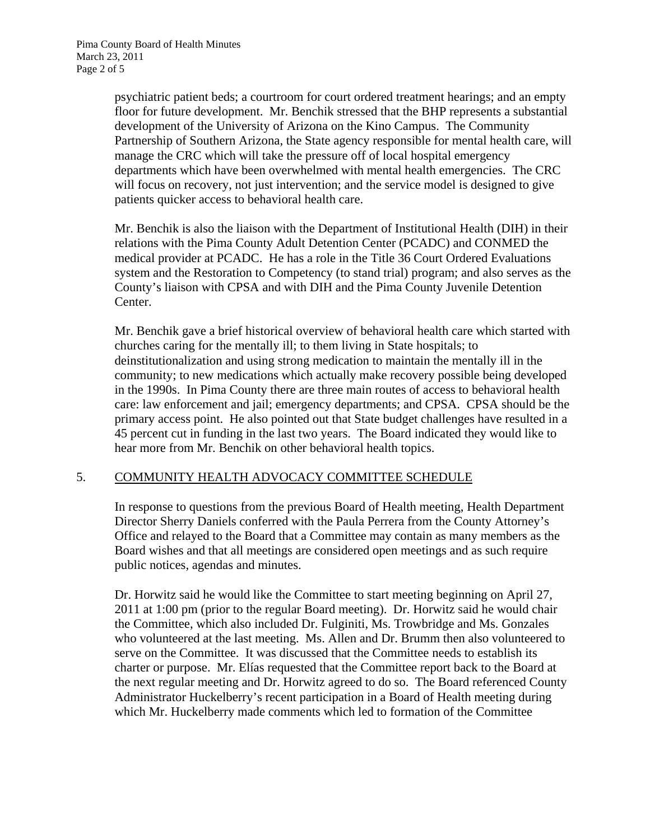psychiatric patient beds; a courtroom for court ordered treatment hearings; and an empty floor for future development. Mr. Benchik stressed that the BHP represents a substantial development of the University of Arizona on the Kino Campus. The Community Partnership of Southern Arizona, the State agency responsible for mental health care, will manage the CRC which will take the pressure off of local hospital emergency departments which have been overwhelmed with mental health emergencies. The CRC will focus on recovery, not just intervention; and the service model is designed to give patients quicker access to behavioral health care.

Mr. Benchik is also the liaison with the Department of Institutional Health (DIH) in their relations with the Pima County Adult Detention Center (PCADC) and CONMED the medical provider at PCADC. He has a role in the Title 36 Court Ordered Evaluations system and the Restoration to Competency (to stand trial) program; and also serves as the County's liaison with CPSA and with DIH and the Pima County Juvenile Detention Center.

Mr. Benchik gave a brief historical overview of behavioral health care which started with churches caring for the mentally ill; to them living in State hospitals; to deinstitutionalization and using strong medication to maintain the mentally ill in the community; to new medications which actually make recovery possible being developed in the 1990s. In Pima County there are three main routes of access to behavioral health care: law enforcement and jail; emergency departments; and CPSA. CPSA should be the primary access point. He also pointed out that State budget challenges have resulted in a 45 percent cut in funding in the last two years. The Board indicated they would like to hear more from Mr. Benchik on other behavioral health topics.

# 5. COMMUNITY HEALTH ADVOCACY COMMITTEE SCHEDULE

In response to questions from the previous Board of Health meeting, Health Department Director Sherry Daniels conferred with the Paula Perrera from the County Attorney's Office and relayed to the Board that a Committee may contain as many members as the Board wishes and that all meetings are considered open meetings and as such require public notices, agendas and minutes.

Dr. Horwitz said he would like the Committee to start meeting beginning on April 27, 2011 at 1:00 pm (prior to the regular Board meeting). Dr. Horwitz said he would chair the Committee, which also included Dr. Fulginiti, Ms. Trowbridge and Ms. Gonzales who volunteered at the last meeting. Ms. Allen and Dr. Brumm then also volunteered to serve on the Committee. It was discussed that the Committee needs to establish its charter or purpose. Mr. Elías requested that the Committee report back to the Board at the next regular meeting and Dr. Horwitz agreed to do so. The Board referenced County Administrator Huckelberry's recent participation in a Board of Health meeting during which Mr. Huckelberry made comments which led to formation of the Committee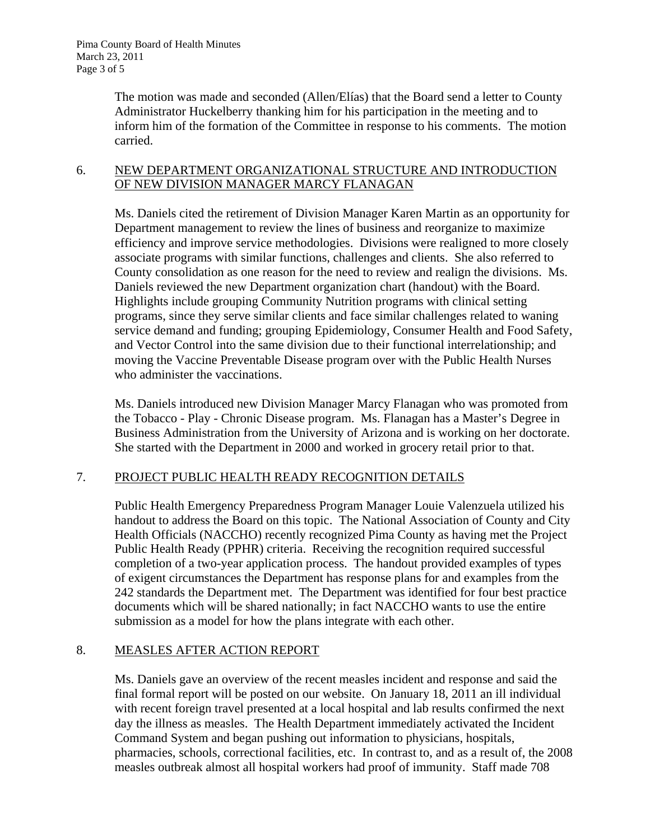The motion was made and seconded (Allen/Elías) that the Board send a letter to County Administrator Huckelberry thanking him for his participation in the meeting and to inform him of the formation of the Committee in response to his comments. The motion carried.

### 6. NEW DEPARTMENT ORGANIZATIONAL STRUCTURE AND INTRODUCTION OF NEW DIVISION MANAGER MARCY FLANAGAN

Ms. Daniels cited the retirement of Division Manager Karen Martin as an opportunity for Department management to review the lines of business and reorganize to maximize efficiency and improve service methodologies. Divisions were realigned to more closely associate programs with similar functions, challenges and clients. She also referred to County consolidation as one reason for the need to review and realign the divisions. Ms. Daniels reviewed the new Department organization chart (handout) with the Board. Highlights include grouping Community Nutrition programs with clinical setting programs, since they serve similar clients and face similar challenges related to waning service demand and funding; grouping Epidemiology, Consumer Health and Food Safety, and Vector Control into the same division due to their functional interrelationship; and moving the Vaccine Preventable Disease program over with the Public Health Nurses who administer the vaccinations.

Ms. Daniels introduced new Division Manager Marcy Flanagan who was promoted from the Tobacco - Play - Chronic Disease program. Ms. Flanagan has a Master's Degree in Business Administration from the University of Arizona and is working on her doctorate. She started with the Department in 2000 and worked in grocery retail prior to that.

# 7. PROJECT PUBLIC HEALTH READY RECOGNITION DETAILS

Public Health Emergency Preparedness Program Manager Louie Valenzuela utilized his handout to address the Board on this topic. The National Association of County and City Health Officials (NACCHO) recently recognized Pima County as having met the Project Public Health Ready (PPHR) criteria. Receiving the recognition required successful completion of a two-year application process. The handout provided examples of types of exigent circumstances the Department has response plans for and examples from the 242 standards the Department met. The Department was identified for four best practice documents which will be shared nationally; in fact NACCHO wants to use the entire submission as a model for how the plans integrate with each other.

# 8. MEASLES AFTER ACTION REPORT

Ms. Daniels gave an overview of the recent measles incident and response and said the final formal report will be posted on our website. On January 18, 2011 an ill individual with recent foreign travel presented at a local hospital and lab results confirmed the next day the illness as measles. The Health Department immediately activated the Incident Command System and began pushing out information to physicians, hospitals, pharmacies, schools, correctional facilities, etc. In contrast to, and as a result of, the 2008 measles outbreak almost all hospital workers had proof of immunity. Staff made 708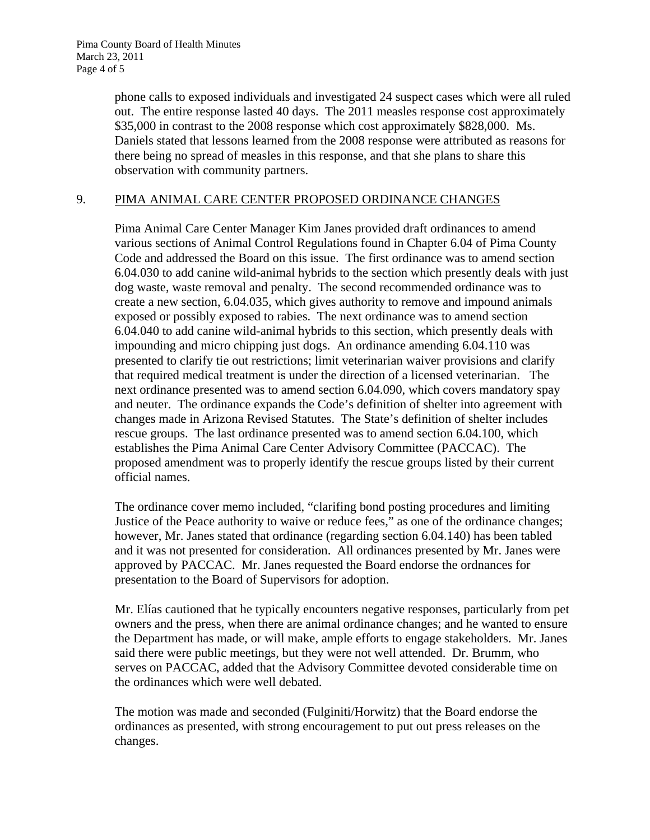phone calls to exposed individuals and investigated 24 suspect cases which were all ruled out. The entire response lasted 40 days. The 2011 measles response cost approximately \$35,000 in contrast to the 2008 response which cost approximately \$828,000. Ms. Daniels stated that lessons learned from the 2008 response were attributed as reasons for there being no spread of measles in this response, and that she plans to share this observation with community partners.

### 9. PIMA ANIMAL CARE CENTER PROPOSED ORDINANCE CHANGES

Pima Animal Care Center Manager Kim Janes provided draft ordinances to amend various sections of Animal Control Regulations found in Chapter 6.04 of Pima County Code and addressed the Board on this issue. The first ordinance was to amend section 6.04.030 to add canine wild-animal hybrids to the section which presently deals with just dog waste, waste removal and penalty. The second recommended ordinance was to create a new section, 6.04.035, which gives authority to remove and impound animals exposed or possibly exposed to rabies. The next ordinance was to amend section 6.04.040 to add canine wild-animal hybrids to this section, which presently deals with impounding and micro chipping just dogs. An ordinance amending 6.04.110 was presented to clarify tie out restrictions; limit veterinarian waiver provisions and clarify that required medical treatment is under the direction of a licensed veterinarian. The next ordinance presented was to amend section 6.04.090, which covers mandatory spay and neuter. The ordinance expands the Code's definition of shelter into agreement with changes made in Arizona Revised Statutes. The State's definition of shelter includes rescue groups. The last ordinance presented was to amend section 6.04.100, which establishes the Pima Animal Care Center Advisory Committee (PACCAC). The proposed amendment was to properly identify the rescue groups listed by their current official names.

The ordinance cover memo included, "clarifing bond posting procedures and limiting Justice of the Peace authority to waive or reduce fees," as one of the ordinance changes; however, Mr. Janes stated that ordinance (regarding section 6.04.140) has been tabled and it was not presented for consideration. All ordinances presented by Mr. Janes were approved by PACCAC. Mr. Janes requested the Board endorse the ordnances for presentation to the Board of Supervisors for adoption.

Mr. Elías cautioned that he typically encounters negative responses, particularly from pet owners and the press, when there are animal ordinance changes; and he wanted to ensure the Department has made, or will make, ample efforts to engage stakeholders. Mr. Janes said there were public meetings, but they were not well attended. Dr. Brumm, who serves on PACCAC, added that the Advisory Committee devoted considerable time on the ordinances which were well debated.

The motion was made and seconded (Fulginiti/Horwitz) that the Board endorse the ordinances as presented, with strong encouragement to put out press releases on the changes.